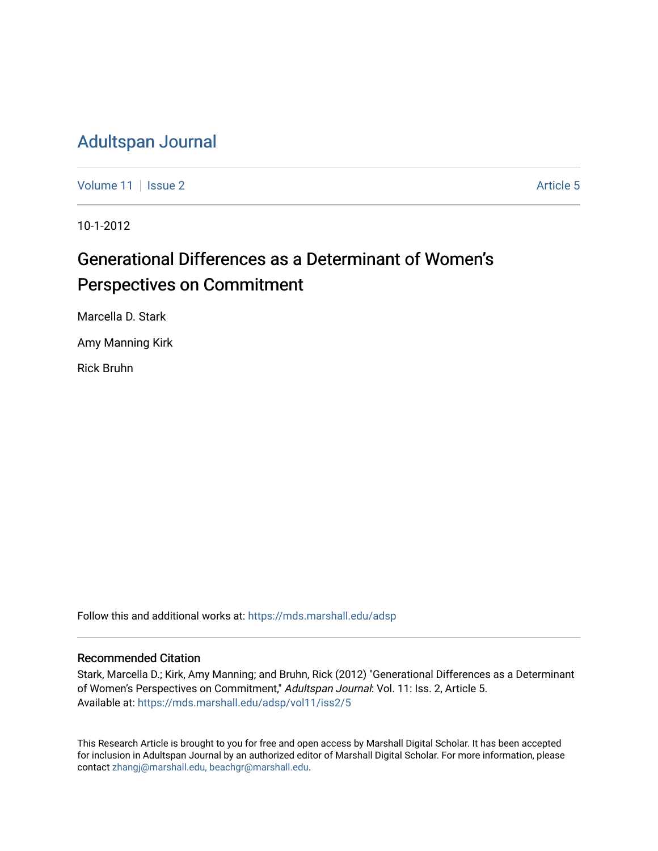### [Adultspan Journal](https://mds.marshall.edu/adsp)

[Volume 11](https://mds.marshall.edu/adsp/vol11) | [Issue 2](https://mds.marshall.edu/adsp/vol11/iss2) Article 5

10-1-2012

## Generational Differences as a Determinant of Women's Perspectives on Commitment

Marcella D. Stark

Amy Manning Kirk

Rick Bruhn

Follow this and additional works at: [https://mds.marshall.edu/adsp](https://mds.marshall.edu/adsp?utm_source=mds.marshall.edu%2Fadsp%2Fvol11%2Fiss2%2F5&utm_medium=PDF&utm_campaign=PDFCoverPages) 

#### Recommended Citation

Stark, Marcella D.; Kirk, Amy Manning; and Bruhn, Rick (2012) "Generational Differences as a Determinant of Women's Perspectives on Commitment," Adultspan Journal: Vol. 11: Iss. 2, Article 5. Available at: [https://mds.marshall.edu/adsp/vol11/iss2/5](https://mds.marshall.edu/adsp/vol11/iss2/5?utm_source=mds.marshall.edu%2Fadsp%2Fvol11%2Fiss2%2F5&utm_medium=PDF&utm_campaign=PDFCoverPages) 

This Research Article is brought to you for free and open access by Marshall Digital Scholar. It has been accepted for inclusion in Adultspan Journal by an authorized editor of Marshall Digital Scholar. For more information, please contact [zhangj@marshall.edu, beachgr@marshall.edu](mailto:zhangj@marshall.edu,%20beachgr@marshall.edu).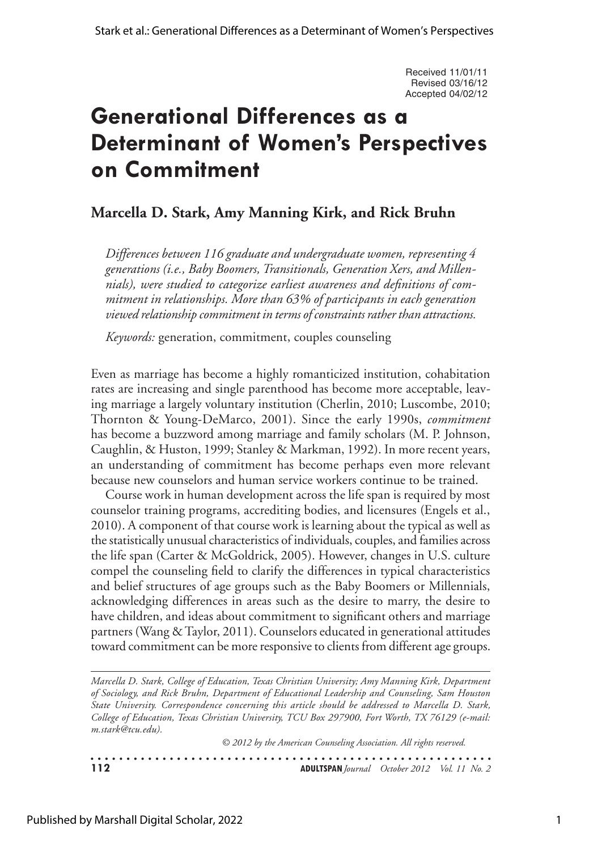Received 11/01/11 Revised 03/16/12 Accepted 04/02/12

# **Generational Differences as a Determinant of Women's Perspectives on Commitment**

### **Marcella D. Stark, Amy Manning Kirk, and Rick Bruhn**

*Differences between 116 graduate and undergraduate women, representing 4 generations (i.e., Baby Boomers, Transitionals, Generation Xers, and Millennials), were studied to categorize earliest awareness and definitions of commitment in relationships. More than 63% of participants in each generation viewed relationship commitment in terms of constraints rather than attractions.* 

*Keywords:* generation, commitment, couples counseling

Even as marriage has become a highly romanticized institution, cohabitation rates are increasing and single parenthood has become more acceptable, leaving marriage a largely voluntary institution (Cherlin, 2010; Luscombe, 2010; Thornton & Young-DeMarco, 2001). Since the early 1990s, *commitment* has become a buzzword among marriage and family scholars (M. P. Johnson, Caughlin, & Huston, 1999; Stanley & Markman, 1992). In more recent years, an understanding of commitment has become perhaps even more relevant because new counselors and human service workers continue to be trained.

Course work in human development across the life span is required by most counselor training programs, accrediting bodies, and licensures (Engels et al., 2010). A component of that course work is learning about the typical as well as the statistically unusual characteristics of individuals, couples, and families across the life span (Carter & McGoldrick, 2005). However, changes in U.S. culture compel the counseling field to clarify the differences in typical characteristics and belief structures of age groups such as the Baby Boomers or Millennials, acknowledging differences in areas such as the desire to marry, the desire to have children, and ideas about commitment to significant others and marriage partners (Wang & Taylor, 2011). Counselors educated in generational attitudes toward commitment can be more responsive to clients from different age groups.

*Marcella D. Stark, College of Education, Texas Christian University; Amy Manning Kirk, Department of Sociology, and Rick Bruhn, Department of Educational Leadership and Counseling, Sam Houston State University. Correspondence concerning this article should be addressed to Marcella D. Stark, College of Education, Texas Christian University, TCU Box 297900, Fort Worth, TX 76129 (e-mail: m.stark@tcu.edu).* 

*© 2012 by the American Counseling Association. All rights reserved.* **112 ADULTSPAN***Journal October 2012 Vol. 11 No. 2*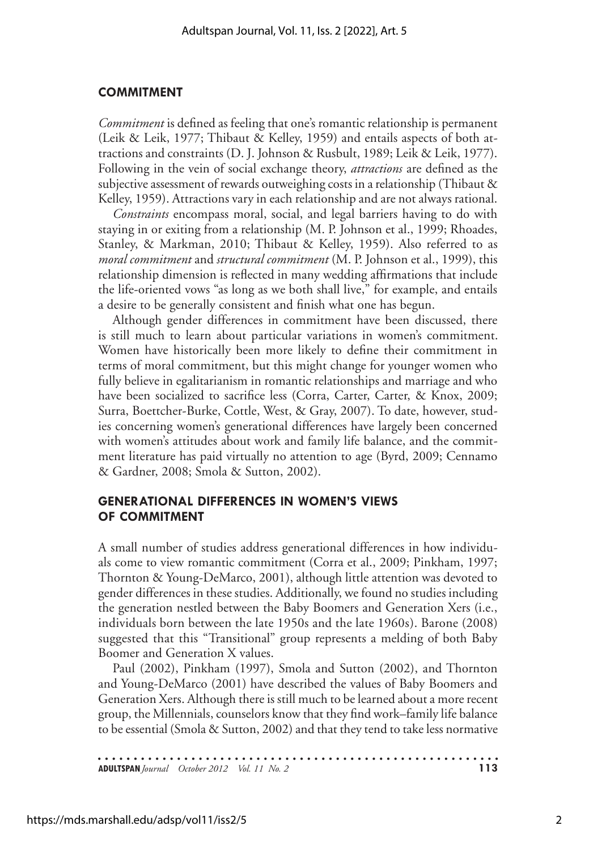#### **Commitment**

*Commitment* is defined as feeling that one's romantic relationship is permanent (Leik & Leik, 1977; Thibaut & Kelley, 1959) and entails aspects of both attractions and constraints (D. J. Johnson & Rusbult, 1989; Leik & Leik, 1977). Following in the vein of social exchange theory, *attractions* are defined as the subjective assessment of rewards outweighing costs in a relationship (Thibaut & Kelley, 1959). Attractions vary in each relationship and are not always rational.

*Constraints* encompass moral, social, and legal barriers having to do with staying in or exiting from a relationship (M. P. Johnson et al., 1999; Rhoades, Stanley, & Markman, 2010; Thibaut & Kelley, 1959). Also referred to as *moral commitment* and *structural commitment* (M. P. Johnson et al., 1999), this relationship dimension is reflected in many wedding affirmations that include the life-oriented vows "as long as we both shall live," for example, and entails a desire to be generally consistent and finish what one has begun.

Although gender differences in commitment have been discussed, there is still much to learn about particular variations in women's commitment. Women have historically been more likely to define their commitment in terms of moral commitment, but this might change for younger women who fully believe in egalitarianism in romantic relationships and marriage and who have been socialized to sacrifice less (Corra, Carter, Carter, & Knox, 2009; Surra, Boettcher-Burke, Cottle, West, & Gray, 2007). To date, however, studies concerning women's generational differences have largely been concerned with women's attitudes about work and family life balance, and the commitment literature has paid virtually no attention to age (Byrd, 2009; Cennamo & Gardner, 2008; Smola & Sutton, 2002).

#### **Generational Differences in Women's Views of Commitment**

A small number of studies address generational differences in how individuals come to view romantic commitment (Corra et al., 2009; Pinkham, 1997; Thornton & Young-DeMarco, 2001), although little attention was devoted to gender differences in these studies. Additionally, we found no studies including the generation nestled between the Baby Boomers and Generation Xers (i.e., individuals born between the late 1950s and the late 1960s). Barone (2008) suggested that this "Transitional" group represents a melding of both Baby Boomer and Generation X values.

Paul (2002), Pinkham (1997), Smola and Sutton (2002), and Thornton and Young-DeMarco (2001) have described the values of Baby Boomers and Generation Xers. Although there is still much to be learned about a more recent group, the Millennials, counselors know that they find work–family life balance to be essential (Smola & Sutton, 2002) and that they tend to take less normative

. . . . . . . . . . **ADULTSPAN***Journal October 2012 Vol. 11 No. 2* **113**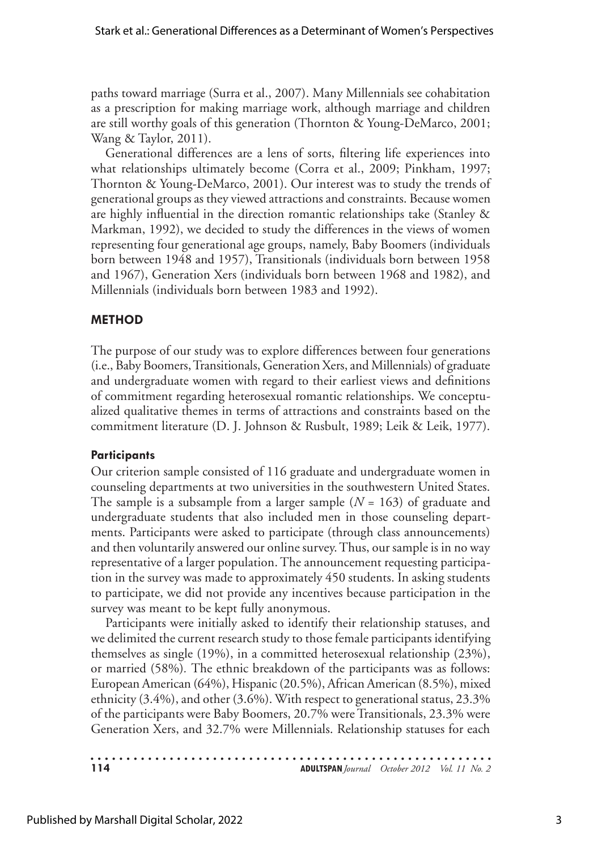paths toward marriage (Surra et al., 2007). Many Millennials see cohabitation as a prescription for making marriage work, although marriage and children are still worthy goals of this generation (Thornton & Young-DeMarco, 2001; Wang & Taylor, 2011).

Generational differences are a lens of sorts, filtering life experiences into what relationships ultimately become (Corra et al., 2009; Pinkham, 1997; Thornton & Young-DeMarco, 2001). Our interest was to study the trends of generational groups as they viewed attractions and constraints. Because women are highly influential in the direction romantic relationships take (Stanley & Markman, 1992), we decided to study the differences in the views of women representing four generational age groups, namely, Baby Boomers (individuals born between 1948 and 1957), Transitionals (individuals born between 1958 and 1967), Generation Xers (individuals born between 1968 and 1982), and Millennials (individuals born between 1983 and 1992).

#### **Method**

The purpose of our study was to explore differences between four generations (i.e., Baby Boomers, Transitionals, Generation Xers, and Millennials) of graduate and undergraduate women with regard to their earliest views and definitions of commitment regarding heterosexual romantic relationships. We conceptualized qualitative themes in terms of attractions and constraints based on the commitment literature (D. J. Johnson & Rusbult, 1989; Leik & Leik, 1977).

#### **Participants**

Our criterion sample consisted of 116 graduate and undergraduate women in counseling departments at two universities in the southwestern United States. The sample is a subsample from a larger sample (*N* = 163) of graduate and undergraduate students that also included men in those counseling departments. Participants were asked to participate (through class announcements) and then voluntarily answered our online survey. Thus, our sample is in no way representative of a larger population. The announcement requesting participation in the survey was made to approximately 450 students. In asking students to participate, we did not provide any incentives because participation in the survey was meant to be kept fully anonymous.

Participants were initially asked to identify their relationship statuses, and we delimited the current research study to those female participants identifying themselves as single (19%), in a committed heterosexual relationship (23%), or married (58%)*.* The ethnic breakdown of the participants was as follows: European American (64%), Hispanic (20.5%), African American (8.5%), mixed ethnicity (3.4%), and other (3.6%). With respect to generational status, 23.3% of the participants were Baby Boomers, 20.7% were Transitionals, 23.3% were Generation Xers, and 32.7% were Millennials. Relationship statuses for each

**114 ADULTSPAN***Journal October 2012 Vol. 11 No. 2*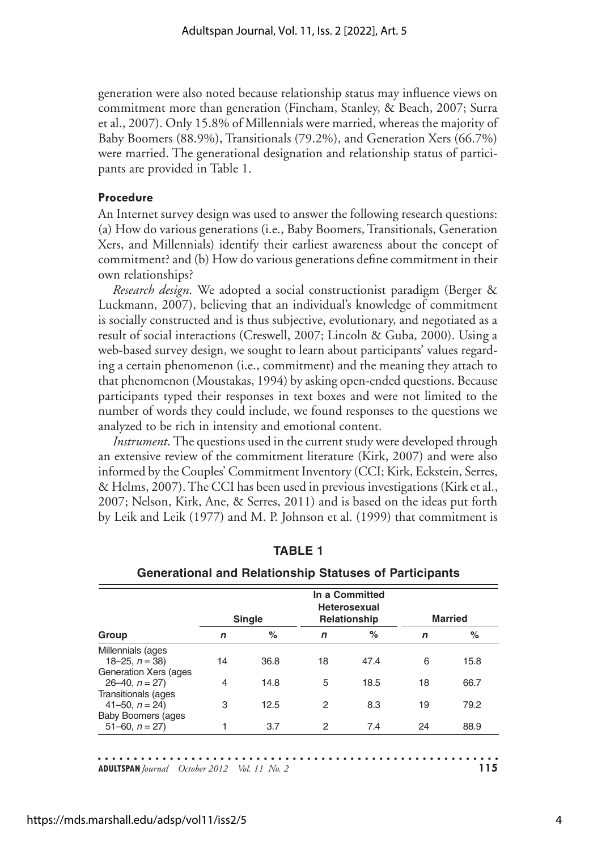generation were also noted because relationship status may influence views on commitment more than generation (Fincham, Stanley, & Beach, 2007; Surra et al., 2007). Only 15.8% of Millennials were married, whereas the majority of Baby Boomers (88.9%), Transitionals (79.2%), and Generation Xers (66.7%) were married. The generational designation and relationship status of participants are provided in Table 1.

#### **Procedure**

An Internet survey design was used to answer the following research questions: (a) How do various generations (i.e., Baby Boomers, Transitionals, Generation Xers, and Millennials) identify their earliest awareness about the concept of commitment? and (b) How do various generations define commitment in their own relationships?

*Research design*. We adopted a social constructionist paradigm (Berger & Luckmann, 2007), believing that an individual's knowledge of commitment is socially constructed and is thus subjective, evolutionary, and negotiated as a result of social interactions (Creswell, 2007; Lincoln & Guba, 2000). Using a web-based survey design, we sought to learn about participants' values regarding a certain phenomenon (i.e., commitment) and the meaning they attach to that phenomenon (Moustakas, 1994) by asking open-ended questions. Because participants typed their responses in text boxes and were not limited to the number of words they could include, we found responses to the questions we analyzed to be rich in intensity and emotional content.

*Instrument*. The questions used in the current study were developed through an extensive review of the commitment literature (Kirk, 2007) and were also informed by the Couples' Commitment Inventory (CCI; Kirk, Eckstein, Serres, & Helms, 2007). The CCI has been used in previous investigations (Kirk et al., 2007; Nelson, Kirk, Ane, & Serres, 2011) and is based on the ideas put forth by Leik and Leik (1977) and M. P. Johnson et al. (1999) that commitment is

| Group                      | Single         |      | In a Committed<br>Heterosexual<br>Relationship |      | <b>Married</b> |      |
|----------------------------|----------------|------|------------------------------------------------|------|----------------|------|
|                            | $\mathsf{n}$   | $\%$ | n                                              | $\%$ | $\mathsf{n}$   | %    |
| Millennials (ages          |                |      |                                                |      |                |      |
| 18–25, $n = 38$            | 14             | 36.8 | 18                                             | 47.4 | 6              | 15.8 |
| Generation Xers (ages      |                |      |                                                |      |                |      |
| $26-40, n = 27$            | $\overline{4}$ | 14.8 | 5                                              | 18.5 | 18             | 66.7 |
| <b>Transitionals (ages</b> |                |      |                                                |      |                |      |
| 41–50, $n = 24$            | 3              | 12.5 | $\overline{2}$                                 | 8.3  | 19             | 79.2 |
| <b>Baby Boomers (ages)</b> |                |      |                                                |      |                |      |
| $51-60, n = 27$            |                | 3.7  | 2                                              | 7.4  | 24             | 88.9 |

**Table 1**

#### **Generational and Relationship Statuses of Participants**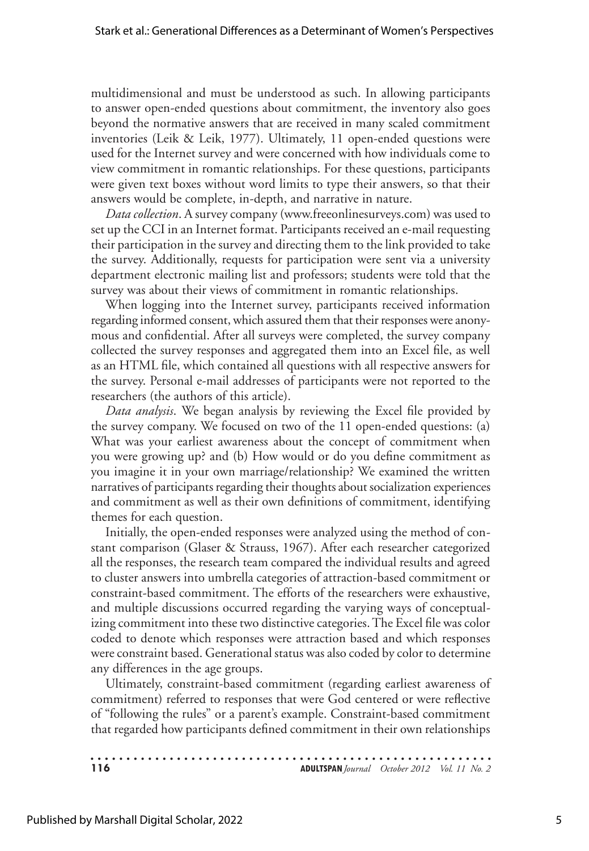multidimensional and must be understood as such. In allowing participants to answer open-ended questions about commitment, the inventory also goes beyond the normative answers that are received in many scaled commitment inventories (Leik & Leik, 1977). Ultimately, 11 open-ended questions were used for the Internet survey and were concerned with how individuals come to view commitment in romantic relationships. For these questions, participants were given text boxes without word limits to type their answers, so that their answers would be complete, in-depth, and narrative in nature.

*Data collection*. A survey company (www.freeonlinesurveys.com) was used to set up the CCI in an Internet format. Participants received an e-mail requesting their participation in the survey and directing them to the link provided to take the survey. Additionally, requests for participation were sent via a university department electronic mailing list and professors; students were told that the survey was about their views of commitment in romantic relationships.

When logging into the Internet survey, participants received information regarding informed consent, which assured them that their responses were anonymous and confidential. After all surveys were completed, the survey company collected the survey responses and aggregated them into an Excel file, as well as an HTML file, which contained all questions with all respective answers for the survey. Personal e-mail addresses of participants were not reported to the researchers (the authors of this article).

*Data analysis*. We began analysis by reviewing the Excel file provided by the survey company. We focused on two of the 11 open-ended questions: (a) What was your earliest awareness about the concept of commitment when you were growing up? and (b) How would or do you define commitment as you imagine it in your own marriage/relationship? We examined the written narratives of participants regarding their thoughts about socialization experiences and commitment as well as their own definitions of commitment, identifying themes for each question.

Initially, the open-ended responses were analyzed using the method of constant comparison (Glaser & Strauss, 1967). After each researcher categorized all the responses, the research team compared the individual results and agreed to cluster answers into umbrella categories of attraction-based commitment or constraint-based commitment. The efforts of the researchers were exhaustive, and multiple discussions occurred regarding the varying ways of conceptualizing commitment into these two distinctive categories. The Excel file was color coded to denote which responses were attraction based and which responses were constraint based. Generational status was also coded by color to determine any differences in the age groups.

Ultimately, constraint-based commitment (regarding earliest awareness of commitment) referred to responses that were God centered or were reflective of "following the rules" or a parent's example. Constraint-based commitment that regarded how participants defined commitment in their own relationships

| <b>116</b> | <b>ADULTSPAN</b> Journal October 2012 Vol. 11 No. 2 |  |
|------------|-----------------------------------------------------|--|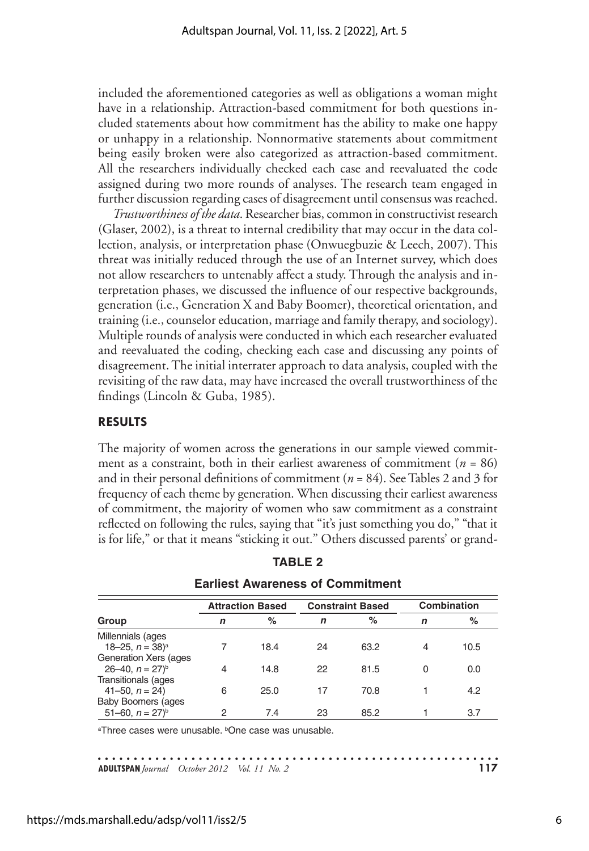included the aforementioned categories as well as obligations a woman might have in a relationship. Attraction-based commitment for both questions included statements about how commitment has the ability to make one happy or unhappy in a relationship. Nonnormative statements about commitment being easily broken were also categorized as attraction-based commitment. All the researchers individually checked each case and reevaluated the code assigned during two more rounds of analyses. The research team engaged in further discussion regarding cases of disagreement until consensus was reached.

*Trustworthiness of the data*. Researcher bias, common in constructivist research (Glaser, 2002), is a threat to internal credibility that may occur in the data collection, analysis, or interpretation phase (Onwuegbuzie & Leech, 2007). This threat was initially reduced through the use of an Internet survey, which does not allow researchers to untenably affect a study. Through the analysis and interpretation phases, we discussed the influence of our respective backgrounds, generation (i.e., Generation X and Baby Boomer), theoretical orientation, and training (i.e., counselor education, marriage and family therapy, and sociology). Multiple rounds of analysis were conducted in which each researcher evaluated and reevaluated the coding, checking each case and discussing any points of disagreement. The initial interrater approach to data analysis, coupled with the revisiting of the raw data, may have increased the overall trustworthiness of the findings (Lincoln & Guba, 1985).

#### **Results**

The majority of women across the generations in our sample viewed commitment as a constraint, both in their earliest awareness of commitment ( $n = 86$ ) and in their personal definitions of commitment (*n* = 84). See Tables 2 and 3 for frequency of each theme by generation. When discussing their earliest awareness of commitment, the majority of women who saw commitment as a constraint reflected on following the rules, saying that "it's just something you do," "that it is for life," or that it means "sticking it out." Others discussed parents' or grand-

| Group                           | <b>Attraction Based</b> |      | <b>Constraint Based</b> |      | Combination |      |
|---------------------------------|-------------------------|------|-------------------------|------|-------------|------|
|                                 | $\mathsf{n}$            | $\%$ | n                       | $\%$ | n           | %    |
| Millennials (ages               |                         |      |                         |      |             |      |
| 18–25, $n = 38$ <sup>a</sup>    |                         | 18.4 | 24                      | 63.2 | 4           | 10.5 |
| Generation Xers (ages           |                         |      |                         |      |             |      |
| 26–40, $n = 27$ <sup>b</sup>    | 4                       | 14.8 | 22                      | 81.5 | 0           | 0.0  |
| <b>Transitionals (ages</b>      |                         |      |                         |      |             |      |
| 41–50, $n = 24$                 | 6                       | 25.0 | 17                      | 70.8 |             | 4.2  |
| <b>Baby Boomers (ages</b>       |                         |      |                         |      |             |      |
| $51-60$ , $n = 27$ <sup>b</sup> |                         | 7.4  | 23                      | 85.2 |             | 3.7  |

**Table 2**

**Earliest Awareness of Commitment**

<sup>a</sup>Three cases were unusable. <sup>b</sup>One case was unusable.

**ADULTSPAN***Journal October 2012 Vol. 11 No. 2* **117**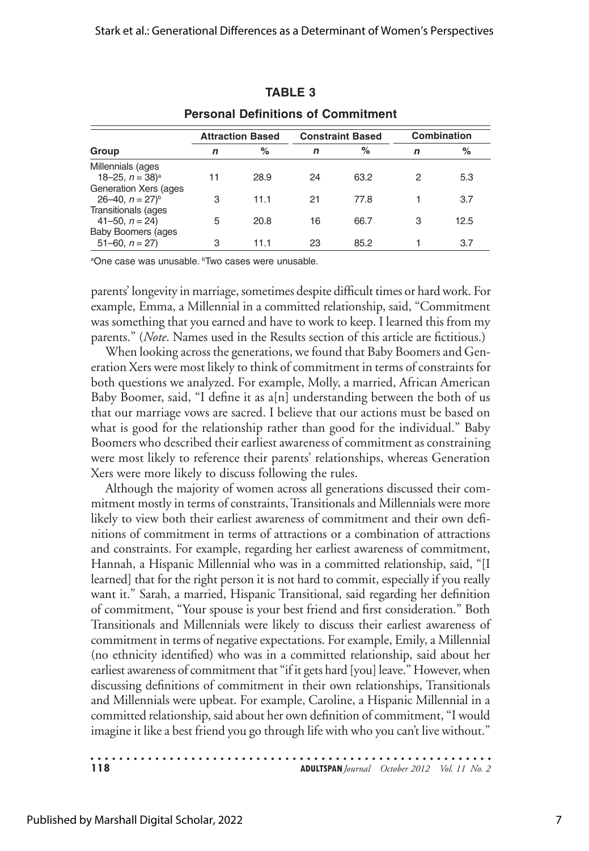| <b>Personal Definitions of Commitment</b> |                         |      |                         |      |                    |      |
|-------------------------------------------|-------------------------|------|-------------------------|------|--------------------|------|
|                                           | <b>Attraction Based</b> |      | <b>Constraint Based</b> |      | <b>Combination</b> |      |
| Group                                     | n                       | %    | n                       | %    | n                  | $\%$ |
| Millennials (ages                         |                         |      |                         |      |                    |      |
| 18–25, $n = 38$ <sup>a</sup>              | 11                      | 28.9 | 24                      | 63.2 | 2                  | 5.3  |
| <b>Generation Xers (ages</b>              |                         |      |                         |      |                    |      |
| 26–40, $n = 27$ <sup>b</sup>              | 3                       | 11.1 | 21                      | 77.8 |                    | 3.7  |
| <b>Transitionals (ages</b>                |                         |      |                         |      |                    |      |
| 41–50, $n = 24$                           | 5                       | 20.8 | 16                      | 66.7 | З                  | 12.5 |
| <b>Baby Boomers (ages</b>                 |                         |      |                         |      |                    |      |
| $51-60, n = 27$                           | 3                       | 11.1 | 23                      | 85.2 |                    | 3.7  |

#### **Table 3**

<sup>a</sup>One case was unusable. <sup>b</sup>Two cases were unusable.

parents' longevity in marriage, sometimes despite difficult times or hard work. For example, Emma, a Millennial in a committed relationship, said, "Commitment was something that you earned and have to work to keep. I learned this from my parents." (*Note*. Names used in the Results section of this article are fictitious.)

When looking across the generations, we found that Baby Boomers and Generation Xers were most likely to think of commitment in terms of constraints for both questions we analyzed. For example, Molly, a married, African American Baby Boomer, said, "I define it as  $a[n]$  understanding between the both of us that our marriage vows are sacred. I believe that our actions must be based on what is good for the relationship rather than good for the individual." Baby Boomers who described their earliest awareness of commitment as constraining were most likely to reference their parents' relationships, whereas Generation Xers were more likely to discuss following the rules.

Although the majority of women across all generations discussed their commitment mostly in terms of constraints, Transitionals and Millennials were more likely to view both their earliest awareness of commitment and their own definitions of commitment in terms of attractions or a combination of attractions and constraints. For example, regarding her earliest awareness of commitment, Hannah, a Hispanic Millennial who was in a committed relationship, said, "[I learned] that for the right person it is not hard to commit, especially if you really want it." Sarah, a married, Hispanic Transitional, said regarding her definition of commitment, "Your spouse is your best friend and first consideration." Both Transitionals and Millennials were likely to discuss their earliest awareness of commitment in terms of negative expectations. For example, Emily, a Millennial (no ethnicity identified) who was in a committed relationship, said about her earliest awareness of commitment that "if it gets hard [you] leave." However, when discussing definitions of commitment in their own relationships, Transitionals and Millennials were upbeat. For example, Caroline, a Hispanic Millennial in a committed relationship, said about her own definition of commitment, "I would imagine it like a best friend you go through life with who you can't live without."

| 118 | <b>ADULTSPAN</b> Journal October 2012 Vol. 11 No. 2 |  |
|-----|-----------------------------------------------------|--|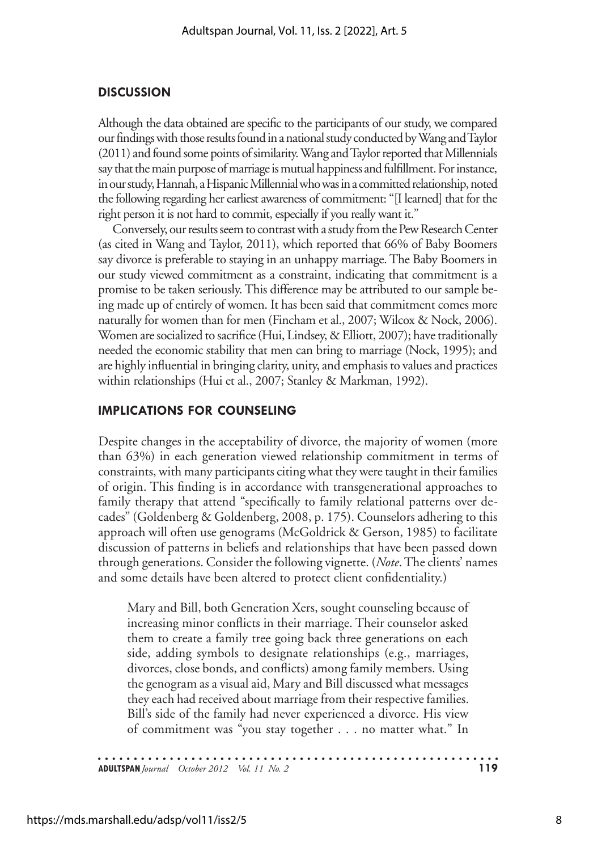#### **Discussion**

Although the data obtained are specific to the participants of our study, we compared our findings with those results found in a national study conducted by Wang and Taylor (2011) and found some points of similarity. Wang and Taylor reported that Millennials say that the main purpose of marriage is mutual happiness and fulfillment. For instance, in our study, Hannah, a Hispanic Millennial who was in a committed relationship, noted the following regarding her earliest awareness of commitment: "[I learned] that for the right person it is not hard to commit, especially if you really want it."

Conversely, our results seem to contrast with a study from the Pew Research Center (as cited in Wang and Taylor, 2011), which reported that 66% of Baby Boomers say divorce is preferable to staying in an unhappy marriage. The Baby Boomers in our study viewed commitment as a constraint, indicating that commitment is a promise to be taken seriously. This difference may be attributed to our sample being made up of entirely of women. It has been said that commitment comes more naturally for women than for men (Fincham et al., 2007; Wilcox & Nock, 2006). Women are socialized to sacrifice (Hui, Lindsey, & Elliott, 2007); have traditionally needed the economic stability that men can bring to marriage (Nock, 1995); and are highly influential in bringing clarity, unity, and emphasis to values and practices within relationships (Hui et al., 2007; Stanley & Markman, 1992).

#### **Implications for Counseling**

Despite changes in the acceptability of divorce, the majority of women (more than 63%) in each generation viewed relationship commitment in terms of constraints, with many participants citing what they were taught in their families of origin. This finding is in accordance with transgenerational approaches to family therapy that attend "specifically to family relational patterns over decades" (Goldenberg & Goldenberg, 2008, p. 175). Counselors adhering to this approach will often use genograms (McGoldrick & Gerson, 1985) to facilitate discussion of patterns in beliefs and relationships that have been passed down through generations. Consider the following vignette. (*Note*. The clients' names and some details have been altered to protect client confidentiality.)

Mary and Bill, both Generation Xers, sought counseling because of increasing minor conflicts in their marriage. Their counselor asked them to create a family tree going back three generations on each side, adding symbols to designate relationships (e.g., marriages, divorces, close bonds, and conflicts) among family members. Using the genogram as a visual aid, Mary and Bill discussed what messages they each had received about marriage from their respective families. Bill's side of the family had never experienced a divorce. His view of commitment was "you stay together . . . no matter what." In

**ADULTSPAN***Journal October 2012 Vol. 11 No. 2* **119**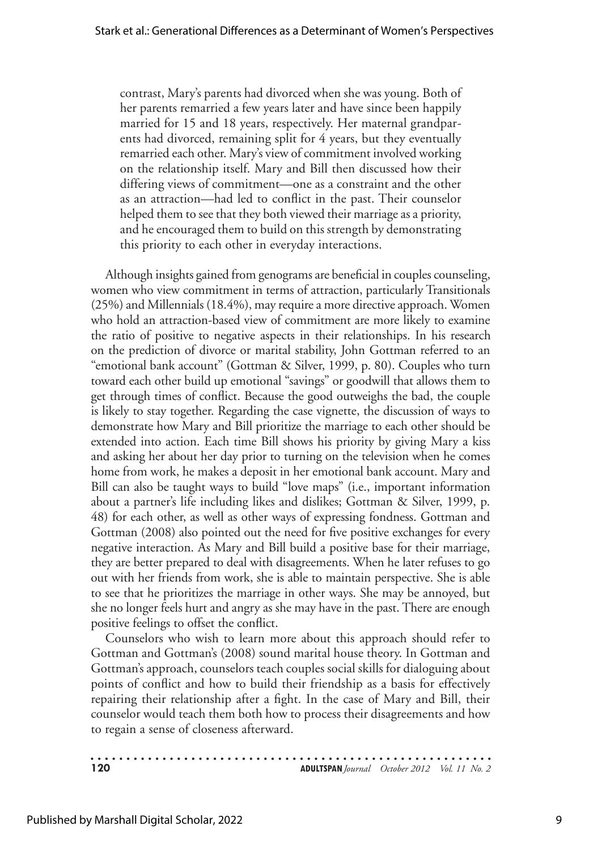contrast, Mary's parents had divorced when she was young. Both of her parents remarried a few years later and have since been happily married for 15 and 18 years, respectively. Her maternal grandparents had divorced, remaining split for 4 years, but they eventually remarried each other. Mary's view of commitment involved working on the relationship itself. Mary and Bill then discussed how their differing views of commitment—one as a constraint and the other as an attraction—had led to conflict in the past. Their counselor helped them to see that they both viewed their marriage as a priority, and he encouraged them to build on this strength by demonstrating this priority to each other in everyday interactions.

Although insights gained from genograms are beneficial in couples counseling, women who view commitment in terms of attraction, particularly Transitionals (25%) and Millennials (18.4%), may require a more directive approach. Women who hold an attraction-based view of commitment are more likely to examine the ratio of positive to negative aspects in their relationships. In his research on the prediction of divorce or marital stability, John Gottman referred to an "emotional bank account" (Gottman & Silver, 1999, p. 80). Couples who turn toward each other build up emotional "savings" or goodwill that allows them to get through times of conflict. Because the good outweighs the bad, the couple is likely to stay together. Regarding the case vignette, the discussion of ways to demonstrate how Mary and Bill prioritize the marriage to each other should be extended into action. Each time Bill shows his priority by giving Mary a kiss and asking her about her day prior to turning on the television when he comes home from work, he makes a deposit in her emotional bank account. Mary and Bill can also be taught ways to build "love maps" (i.e., important information about a partner's life including likes and dislikes; Gottman & Silver, 1999, p. 48) for each other, as well as other ways of expressing fondness. Gottman and Gottman (2008) also pointed out the need for five positive exchanges for every negative interaction. As Mary and Bill build a positive base for their marriage, they are better prepared to deal with disagreements. When he later refuses to go out with her friends from work, she is able to maintain perspective. She is able to see that he prioritizes the marriage in other ways. She may be annoyed, but she no longer feels hurt and angry as she may have in the past. There are enough positive feelings to offset the conflict.

Counselors who wish to learn more about this approach should refer to Gottman and Gottman's (2008) sound marital house theory. In Gottman and Gottman's approach, counselors teach couples social skills for dialoguing about points of conflict and how to build their friendship as a basis for effectively repairing their relationship after a fight. In the case of Mary and Bill, their counselor would teach them both how to process their disagreements and how to regain a sense of closeness afterward.

**120 ADULTSPAN***Journal October 2012 Vol. 11 No. 2*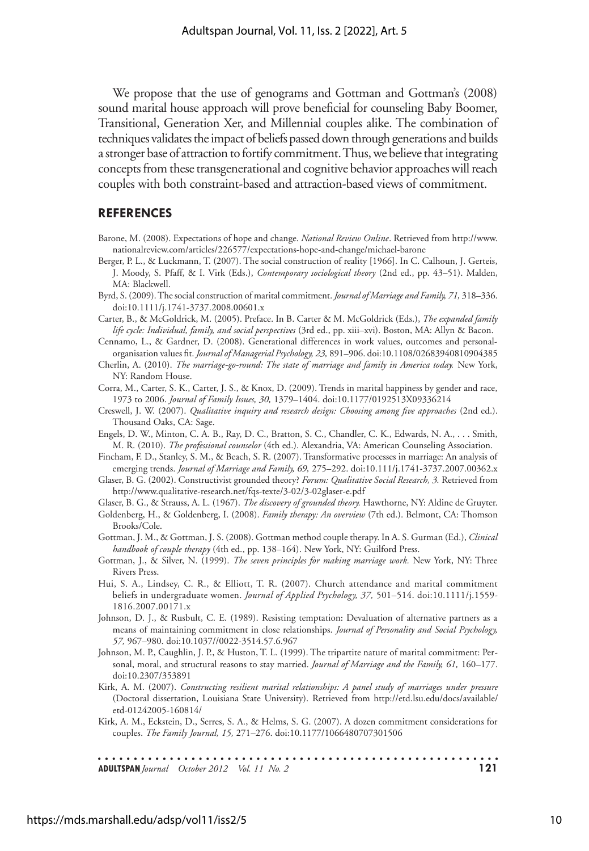We propose that the use of genograms and Gottman and Gottman's (2008) sound marital house approach will prove beneficial for counseling Baby Boomer, Transitional, Generation Xer, and Millennial couples alike. The combination of techniques validates the impact of beliefs passed down through generations and builds a stronger base of attraction to fortify commitment. Thus, we believe that integrating concepts from these transgenerational and cognitive behavior approaches will reach couples with both constraint-based and attraction-based views of commitment.

#### **References**

- Barone, M. (2008). Expectations of hope and change. *National Review Online*. Retrieved from http://www. nationalreview.com/articles/226577/expectations-hope-and-change/michael-barone
- Berger, P. L., & Luckmann, T. (2007). The social construction of reality [1966]. In C. Calhoun, J. Gerteis, J. Moody, S. Pfaff, & I. Virk (Eds.), *Contemporary sociological theory* (2nd ed., pp. 43–51). Malden, MA: Blackwell.
- Byrd, S. (2009). The social construction of marital commitment. *Journal of Marriage and Family, 71,* 318–336. doi:10.1111/j.1741-3737.2008.00601.x
- Carter, B., & McGoldrick, M. (2005). Preface. In B. Carter & M. McGoldrick (Eds.), *The expanded family life cycle: Individual, family, and social perspectives* (3rd ed., pp. xiii–xvi). Boston, MA: Allyn & Bacon.
- Cennamo, L., & Gardner, D. (2008). Generational differences in work values, outcomes and personalorganisation values fit. *Journal of Managerial Psychology, 23,* 891–906. doi:10.1108/02683940810904385
- Cherlin, A. (2010). *The marriage-go-round: The state of marriage and family in America today.* New York, NY: Random House.
- Corra, M., Carter, S. K., Carter, J. S., & Knox, D. (2009). Trends in marital happiness by gender and race, 1973 to 2006. *Journal of Family Issues, 30,* 1379–1404. doi:10.1177/0192513X09336214
- Creswell, J. W. (2007). *Qualitative inquiry and research design: Choosing among five approaches* (2nd ed.). Thousand Oaks, CA: Sage.
- Engels, D. W., Minton, C. A. B., Ray, D. C., Bratton, S. C., Chandler, C. K., Edwards, N. A., . . . Smith, M. R. (2010). *The professional counselor* (4th ed.). Alexandria, VA: American Counseling Association.
- Fincham, F. D., Stanley, S. M., & Beach, S. R. (2007). Transformative processes in marriage: An analysis of emerging trends. *Journal of Marriage and Family, 69,* 275–292. doi:10.111/j.1741-3737.2007.00362.x
- Glaser, B. G. (2002). Constructivist grounded theory? *Forum: Qualitative Social Research, 3.* Retrieved from http://www.qualitative-research.net/fqs-texte/3-02/3-02glaser-e.pdf
- Glaser, B. G., & Strauss, A. L. (1967). *The discovery of grounded theory.* Hawthorne, NY: Aldine de Gruyter.
- Goldenberg, H., & Goldenberg, I. (2008). *Family therapy: An overview* (7th ed.). Belmont, CA: Thomson Brooks/Cole.
- Gottman, J. M., & Gottman, J. S. (2008). Gottman method couple therapy. In A. S. Gurman (Ed.), *Clinical handbook of couple therapy* (4th ed., pp. 138–164). New York, NY: Guilford Press.
- Gottman, J., & Silver, N. (1999). *The seven principles for making marriage work.* New York, NY: Three Rivers Press.
- Hui, S. A., Lindsey, C. R., & Elliott, T. R. (2007). Church attendance and marital commitment beliefs in undergraduate women. *Journal of Applied Psychology, 37,* 501–514. doi:10.1111/j.1559- 1816.2007.00171.x
- Johnson, D. J., & Rusbult, C. E. (1989). Resisting temptation: Devaluation of alternative partners as a means of maintaining commitment in close relationships. *Journal of Personality and Social Psychology, 57,* 967–980. doi:10.1037//0022-3514.57.6.967
- Johnson, M. P., Caughlin, J. P., & Huston, T. L. (1999). The tripartite nature of marital commitment: Personal, moral, and structural reasons to stay married. *Journal of Marriage and the Family, 61,* 160–177. doi:10.2307/353891
- Kirk, A. M. (2007). *Constructing resilient marital relationships: A panel study of marriages under pressure* (Doctoral dissertation, Louisiana State University). Retrieved from http://etd.lsu.edu/docs/available/ etd-01242005-160814/
- Kirk, A. M., Eckstein, D., Serres, S. A., & Helms, S. G. (2007). A dozen commitment considerations for couples. *The Family Journal, 15,* 271–276. doi:10.1177/1066480707301506

**ADULTSPAN***Journal October 2012 Vol. 11 No. 2* **121**